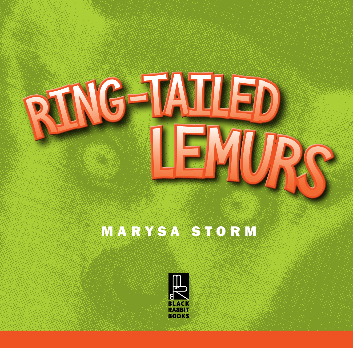

## MARYSA STORM

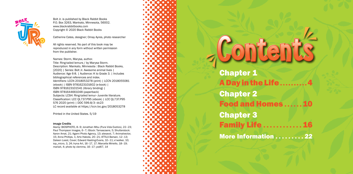- A Day in the Life . . . . . . . . . . 4 Food and Homes . . . . . . 10 **Family Life . . . . . . . . . .**
- **More Information . . . . . . . . . 22**

Chapter 1 Chapter 2 Chapter 3

# All rights reserved. No part of this book may be<br>reproduced in any form without written permission<br>from the publisher.<br>Title: Ring tailed Henuts, Narysa, author.<br>Description: Manysa, author.



Bolt Jr. is published by Black Rabbit Books P.O. Box 3263, Mankato, Minnesota, 56002. www.blackrabbitbooks.com Copyright © 2020 Black Rabbit Books

Catherine Cates, designer; Omay Ayres, photo researcher

All rights reserved. No part of this book may be reproduced in any form without written permission from the publisher.

Alamy: BIOSPHOTO, 8–9; Jonathan Mbu (Pura Vida Exotics), 22–23; Paul Thompson Images, 6–7; iStock: Tamascsere, 5; Shutterstock: Aaron Amat, 21; Agami Photo Agency, 13; alexavol, 7; Animalvector, 15; Anna Phillips, 1; Arto Hakola, 20–21; ATTILA Barsan, 12–13; Daleen Loest, Cover; Edward Hasting-Evans, 10–11; e'walker, 10; iop\_micro, 3, 24; Iryna Art, 16–17, 17; Marcella Miriello, 18–19; mariait, 4; photo by clemma, 16-17; yod67, 14



Names: Storm, Marysa, author. Title: Ring-tailed lemurs / by Marysa Storm. Description: Mankato, Minnesota : Black Rabbit Books, [2020] | Series: Bolt Jr. Awesome animal lives | Audience: Age 6-8. | Audience: K to Grade 3. | Includes bibliographical references and index. Identifiers: LCCN 2018053278 (print) | LCCN 2018055081 (ebook) | ISBN 9781623101602 (e-book) | ISBN 9781623101541 (library binding) | ISBN 9781644661048 (paperback) Subjects: LCSH: Ring-tailed lemur–Juvenile literature. Classification: LCC QL737.P95 (ebook) | LCC QL737.P95 S76 2020 (print) | DDC 599.8/3–dc23 LC record available at https://lccn.loc.gov/2018053278

Printed in the United States. 5/19

#### Image Credits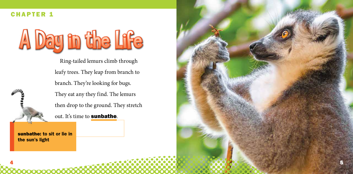sunbathe: to sit or lie in the sun's light

Ring-tailed lemurs climb through leafy trees. They leap from branch to branch. They're looking for bugs. They eat any they find. The lemurs then drop to the ground. They stretch out. It's time to **sunbathe**.

4



#### CHAPTER 1